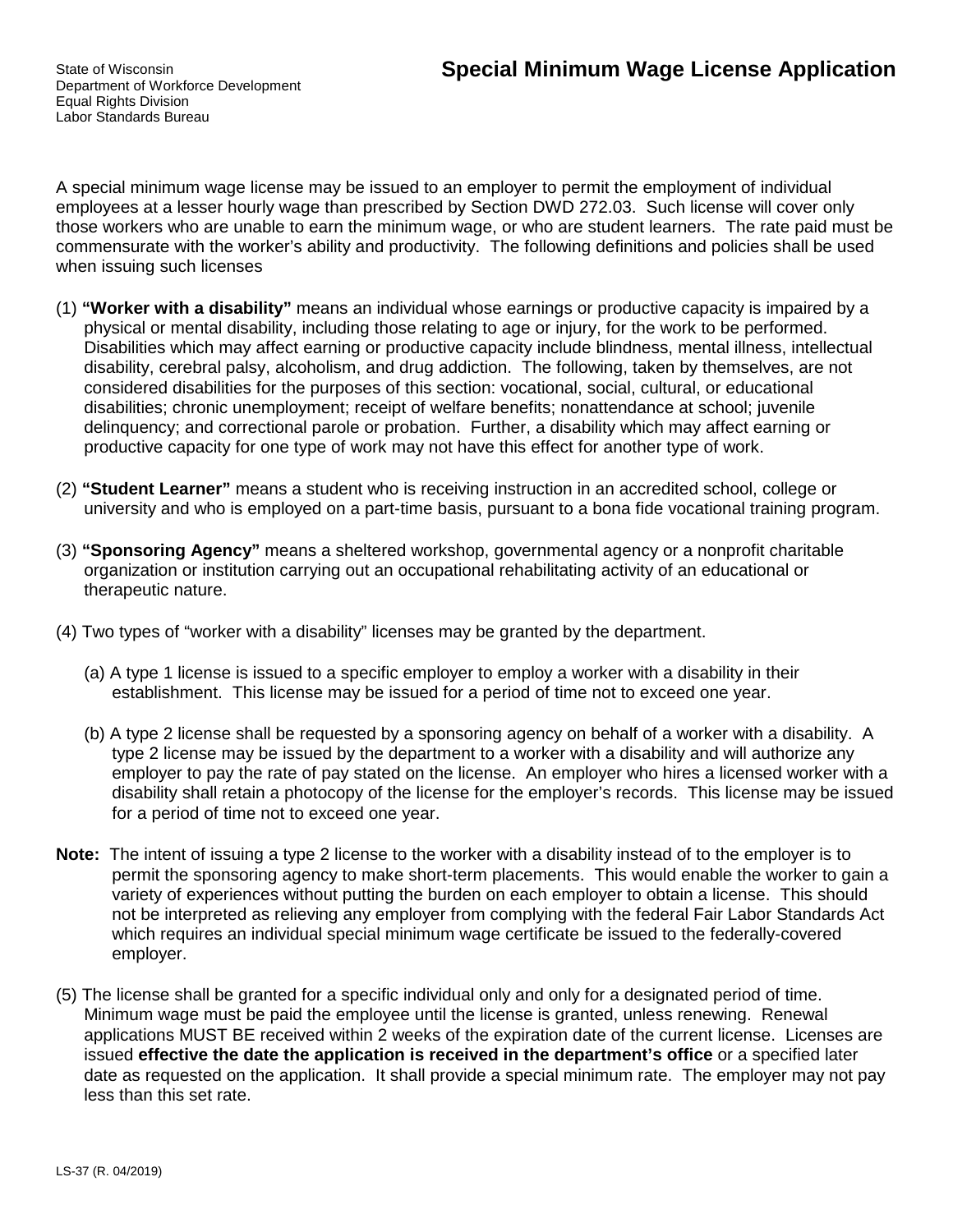State of Wisconsin Department of Workforce Development Equal Rights Division Labor Standards Bureau

A special minimum wage license may be issued to an employer to permit the employment of individual employees at a lesser hourly wage than prescribed by Section DWD 272.03. Such license will cover only those workers who are unable to earn the minimum wage, or who are student learners. The rate paid must be commensurate with the worker's ability and productivity. The following definitions and policies shall be used when issuing such licenses

- (1) **"Worker with a disability"** means an individual whose earnings or productive capacity is impaired by a physical or mental disability, including those relating to age or injury, for the work to be performed. Disabilities which may affect earning or productive capacity include blindness, mental illness, intellectual disability, cerebral palsy, alcoholism, and drug addiction. The following, taken by themselves, are not considered disabilities for the purposes of this section: vocational, social, cultural, or educational disabilities; chronic unemployment; receipt of welfare benefits; nonattendance at school; juvenile delinquency; and correctional parole or probation. Further, a disability which may affect earning or productive capacity for one type of work may not have this effect for another type of work.
- (2) **"Student Learner"** means a student who is receiving instruction in an accredited school, college or university and who is employed on a part-time basis, pursuant to a bona fide vocational training program.
- (3) **"Sponsoring Agency"** means a sheltered workshop, governmental agency or a nonprofit charitable organization or institution carrying out an occupational rehabilitating activity of an educational or therapeutic nature.
- (4) Two types of "worker with a disability" licenses may be granted by the department.
	- (a) A type 1 license is issued to a specific employer to employ a worker with a disability in their establishment. This license may be issued for a period of time not to exceed one year.
	- (b) A type 2 license shall be requested by a sponsoring agency on behalf of a worker with a disability. A type 2 license may be issued by the department to a worker with a disability and will authorize any employer to pay the rate of pay stated on the license. An employer who hires a licensed worker with a disability shall retain a photocopy of the license for the employer's records. This license may be issued for a period of time not to exceed one year.
- **Note:** The intent of issuing a type 2 license to the worker with a disability instead of to the employer is to permit the sponsoring agency to make short-term placements. This would enable the worker to gain a variety of experiences without putting the burden on each employer to obtain a license. This should not be interpreted as relieving any employer from complying with the federal Fair Labor Standards Act which requires an individual special minimum wage certificate be issued to the federally-covered employer.
- (5) The license shall be granted for a specific individual only and only for a designated period of time. Minimum wage must be paid the employee until the license is granted, unless renewing. Renewal applications MUST BE received within 2 weeks of the expiration date of the current license. Licenses are issued **effective the date the application is received in the department's office** or a specified later date as requested on the application. It shall provide a special minimum rate. The employer may not pay less than this set rate.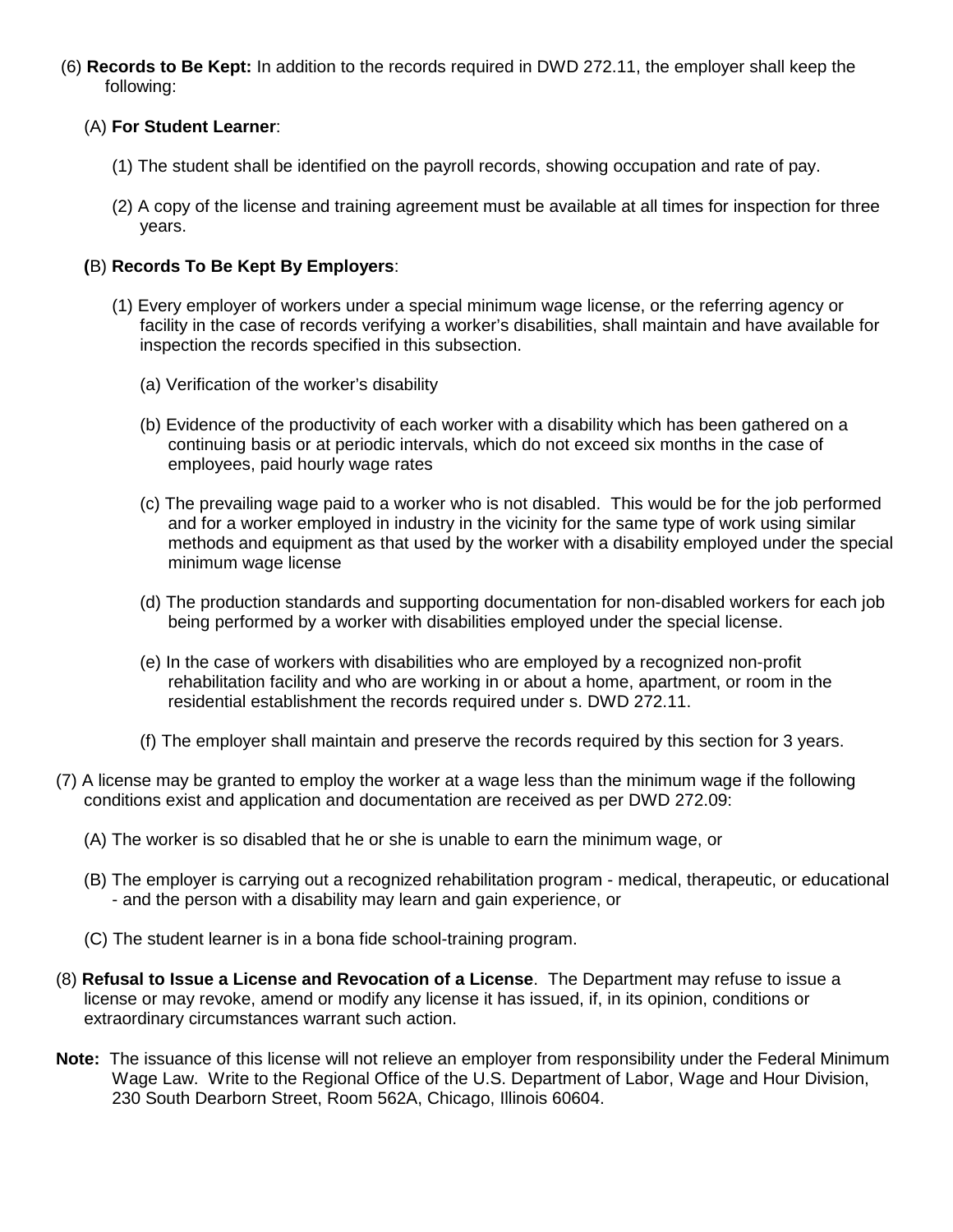(6) **Records to Be Kept:** In addition to the records required in DWD 272.11, the employer shall keep the following:

## (A) **For Student Learner**:

- (1) The student shall be identified on the payroll records, showing occupation and rate of pay.
- (2) A copy of the license and training agreement must be available at all times for inspection for three years.

## **(**B) **Records To Be Kept By Employers**:

- (1) Every employer of workers under a special minimum wage license, or the referring agency or facility in the case of records verifying a worker's disabilities, shall maintain and have available for inspection the records specified in this subsection.
	- (a) Verification of the worker's disability
	- (b) Evidence of the productivity of each worker with a disability which has been gathered on a continuing basis or at periodic intervals, which do not exceed six months in the case of employees, paid hourly wage rates
	- (c) The prevailing wage paid to a worker who is not disabled. This would be for the job performed and for a worker employed in industry in the vicinity for the same type of work using similar methods and equipment as that used by the worker with a disability employed under the special minimum wage license
	- (d) The production standards and supporting documentation for non-disabled workers for each job being performed by a worker with disabilities employed under the special license.
	- (e) In the case of workers with disabilities who are employed by a recognized non-profit rehabilitation facility and who are working in or about a home, apartment, or room in the residential establishment the records required under s. DWD 272.11.
	- (f) The employer shall maintain and preserve the records required by this section for 3 years.
- (7) A license may be granted to employ the worker at a wage less than the minimum wage if the following conditions exist and application and documentation are received as per DWD 272.09:
	- (A) The worker is so disabled that he or she is unable to earn the minimum wage, or
	- (B) The employer is carrying out a recognized rehabilitation program medical, therapeutic, or educational - and the person with a disability may learn and gain experience, or
	- (C) The student learner is in a bona fide school-training program.
- (8) **Refusal to Issue a License and Revocation of a License**. The Department may refuse to issue a license or may revoke, amend or modify any license it has issued, if, in its opinion, conditions or extraordinary circumstances warrant such action.
- **Note:** The issuance of this license will not relieve an employer from responsibility under the Federal Minimum Wage Law. Write to the Regional Office of the U.S. Department of Labor, Wage and Hour Division, 230 South Dearborn Street, Room 562A, Chicago, Illinois 60604.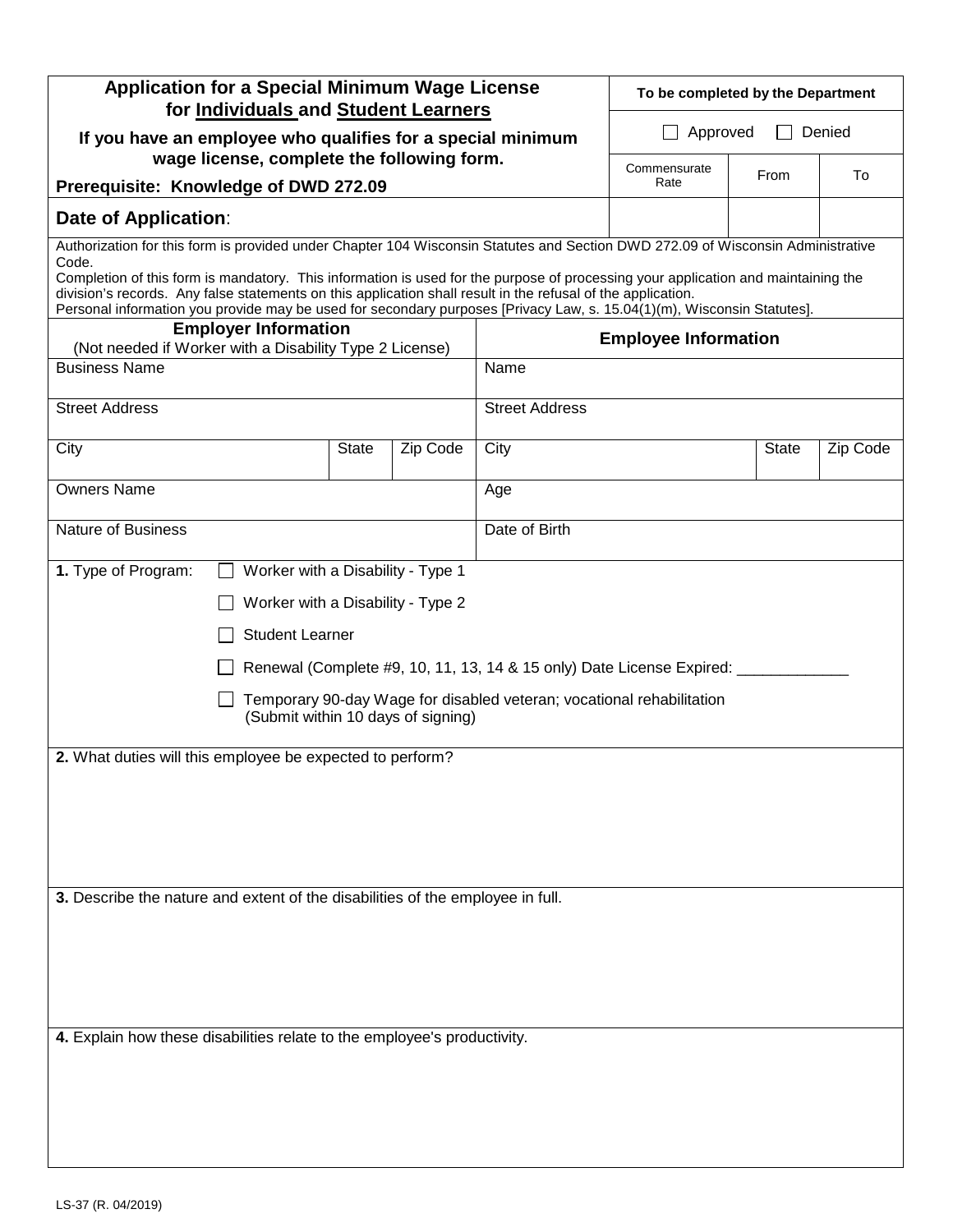| <b>Application for a Special Minimum Wage License</b><br>for Individuals and Student Learners                                                                                                                                                                                                                                                                                                                                                                                                                           |                                   |              |          |                                      | To be completed by the Department |              |          |  |
|-------------------------------------------------------------------------------------------------------------------------------------------------------------------------------------------------------------------------------------------------------------------------------------------------------------------------------------------------------------------------------------------------------------------------------------------------------------------------------------------------------------------------|-----------------------------------|--------------|----------|--------------------------------------|-----------------------------------|--------------|----------|--|
| If you have an employee who qualifies for a special minimum<br>wage license, complete the following form.                                                                                                                                                                                                                                                                                                                                                                                                               |                                   |              |          | Approved<br>Denied<br>$\blacksquare$ |                                   |              |          |  |
| Prerequisite: Knowledge of DWD 272.09                                                                                                                                                                                                                                                                                                                                                                                                                                                                                   |                                   |              |          |                                      | Commensurate<br>Rate              | From         | To       |  |
| Date of Application:                                                                                                                                                                                                                                                                                                                                                                                                                                                                                                    |                                   |              |          |                                      |                                   |              |          |  |
| Authorization for this form is provided under Chapter 104 Wisconsin Statutes and Section DWD 272.09 of Wisconsin Administrative<br>Code.<br>Completion of this form is mandatory. This information is used for the purpose of processing your application and maintaining the<br>division's records. Any false statements on this application shall result in the refusal of the application.<br>Personal information you provide may be used for secondary purposes [Privacy Law, s. 15.04(1)(m), Wisconsin Statutes]. |                                   |              |          |                                      |                                   |              |          |  |
| (Not needed if Worker with a Disability Type 2 License)                                                                                                                                                                                                                                                                                                                                                                                                                                                                 | <b>Employer Information</b>       |              |          | <b>Employee Information</b>          |                                   |              |          |  |
| <b>Business Name</b>                                                                                                                                                                                                                                                                                                                                                                                                                                                                                                    |                                   |              |          | Name                                 |                                   |              |          |  |
| <b>Street Address</b>                                                                                                                                                                                                                                                                                                                                                                                                                                                                                                   |                                   |              |          | <b>Street Address</b>                |                                   |              |          |  |
| City                                                                                                                                                                                                                                                                                                                                                                                                                                                                                                                    |                                   | <b>State</b> | Zip Code | City                                 |                                   | <b>State</b> | Zip Code |  |
| <b>Owners Name</b>                                                                                                                                                                                                                                                                                                                                                                                                                                                                                                      |                                   |              |          | Age                                  |                                   |              |          |  |
| <b>Nature of Business</b>                                                                                                                                                                                                                                                                                                                                                                                                                                                                                               |                                   |              |          | Date of Birth                        |                                   |              |          |  |
| 1. Type of Program:                                                                                                                                                                                                                                                                                                                                                                                                                                                                                                     | Worker with a Disability - Type 1 |              |          |                                      |                                   |              |          |  |
|                                                                                                                                                                                                                                                                                                                                                                                                                                                                                                                         | Worker with a Disability - Type 2 |              |          |                                      |                                   |              |          |  |
|                                                                                                                                                                                                                                                                                                                                                                                                                                                                                                                         | <b>Student Learner</b>            |              |          |                                      |                                   |              |          |  |
| Renewal (Complete #9, 10, 11, 13, 14 & 15 only) Date License Expired: _                                                                                                                                                                                                                                                                                                                                                                                                                                                 |                                   |              |          |                                      |                                   |              |          |  |
| Temporary 90-day Wage for disabled veteran; vocational rehabilitation<br>(Submit within 10 days of signing)                                                                                                                                                                                                                                                                                                                                                                                                             |                                   |              |          |                                      |                                   |              |          |  |
| 2. What duties will this employee be expected to perform?                                                                                                                                                                                                                                                                                                                                                                                                                                                               |                                   |              |          |                                      |                                   |              |          |  |
|                                                                                                                                                                                                                                                                                                                                                                                                                                                                                                                         |                                   |              |          |                                      |                                   |              |          |  |
|                                                                                                                                                                                                                                                                                                                                                                                                                                                                                                                         |                                   |              |          |                                      |                                   |              |          |  |
|                                                                                                                                                                                                                                                                                                                                                                                                                                                                                                                         |                                   |              |          |                                      |                                   |              |          |  |
| 3. Describe the nature and extent of the disabilities of the employee in full.                                                                                                                                                                                                                                                                                                                                                                                                                                          |                                   |              |          |                                      |                                   |              |          |  |
|                                                                                                                                                                                                                                                                                                                                                                                                                                                                                                                         |                                   |              |          |                                      |                                   |              |          |  |
| 4. Explain how these disabilities relate to the employee's productivity.                                                                                                                                                                                                                                                                                                                                                                                                                                                |                                   |              |          |                                      |                                   |              |          |  |
|                                                                                                                                                                                                                                                                                                                                                                                                                                                                                                                         |                                   |              |          |                                      |                                   |              |          |  |
|                                                                                                                                                                                                                                                                                                                                                                                                                                                                                                                         |                                   |              |          |                                      |                                   |              |          |  |
|                                                                                                                                                                                                                                                                                                                                                                                                                                                                                                                         |                                   |              |          |                                      |                                   |              |          |  |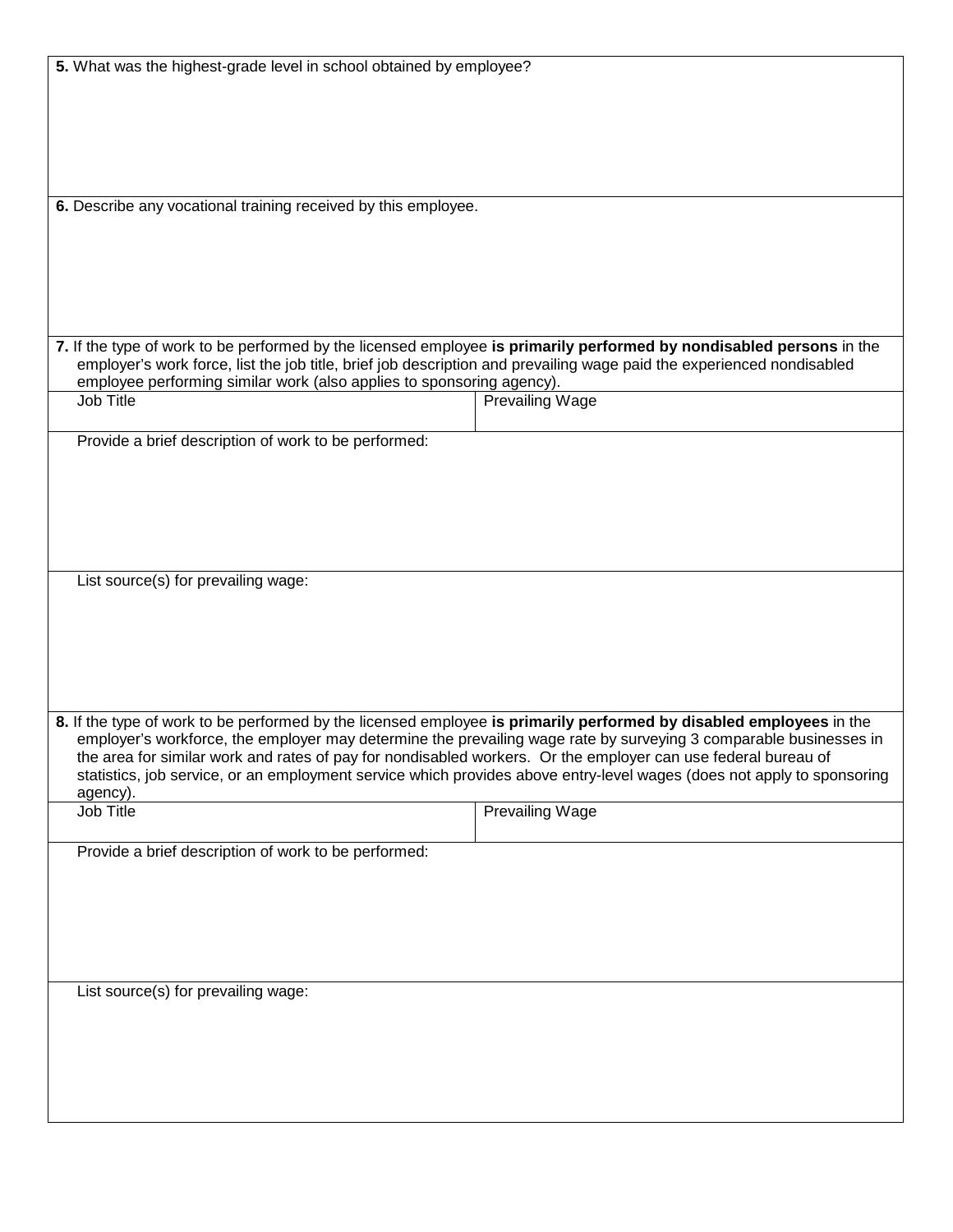| 6. Describe any vocational training received by this employee.<br>7. If the type of work to be performed by the licensed employee is primarily performed by nondisabled persons in the<br>employer's work force, list the job title, brief job description and prevailing wage paid the experienced nondisabled<br>employee performing similar work (also applies to sponsoring agency).<br><b>Prevailing Wage</b><br>Job Title<br>Provide a brief description of work to be performed:<br>List source(s) for prevailing wage:<br>8. If the type of work to be performed by the licensed employee is primarily performed by disabled employees in the<br>employer's workforce, the employer may determine the prevailing wage rate by surveying 3 comparable businesses in<br>the area for similar work and rates of pay for nondisabled workers. Or the employer can use federal bureau of<br>statistics, job service, or an employment service which provides above entry-level wages (does not apply to sponsoring<br>agency).<br>Job Title<br><b>Prevailing Wage</b><br>Provide a brief description of work to be performed:<br>List source(s) for prevailing wage: | 5. What was the highest-grade level in school obtained by employee? |  |  |  |  |  |
|-------------------------------------------------------------------------------------------------------------------------------------------------------------------------------------------------------------------------------------------------------------------------------------------------------------------------------------------------------------------------------------------------------------------------------------------------------------------------------------------------------------------------------------------------------------------------------------------------------------------------------------------------------------------------------------------------------------------------------------------------------------------------------------------------------------------------------------------------------------------------------------------------------------------------------------------------------------------------------------------------------------------------------------------------------------------------------------------------------------------------------------------------------------------------|---------------------------------------------------------------------|--|--|--|--|--|
|                                                                                                                                                                                                                                                                                                                                                                                                                                                                                                                                                                                                                                                                                                                                                                                                                                                                                                                                                                                                                                                                                                                                                                         |                                                                     |  |  |  |  |  |
|                                                                                                                                                                                                                                                                                                                                                                                                                                                                                                                                                                                                                                                                                                                                                                                                                                                                                                                                                                                                                                                                                                                                                                         |                                                                     |  |  |  |  |  |
|                                                                                                                                                                                                                                                                                                                                                                                                                                                                                                                                                                                                                                                                                                                                                                                                                                                                                                                                                                                                                                                                                                                                                                         |                                                                     |  |  |  |  |  |
|                                                                                                                                                                                                                                                                                                                                                                                                                                                                                                                                                                                                                                                                                                                                                                                                                                                                                                                                                                                                                                                                                                                                                                         |                                                                     |  |  |  |  |  |
|                                                                                                                                                                                                                                                                                                                                                                                                                                                                                                                                                                                                                                                                                                                                                                                                                                                                                                                                                                                                                                                                                                                                                                         |                                                                     |  |  |  |  |  |
|                                                                                                                                                                                                                                                                                                                                                                                                                                                                                                                                                                                                                                                                                                                                                                                                                                                                                                                                                                                                                                                                                                                                                                         |                                                                     |  |  |  |  |  |
|                                                                                                                                                                                                                                                                                                                                                                                                                                                                                                                                                                                                                                                                                                                                                                                                                                                                                                                                                                                                                                                                                                                                                                         |                                                                     |  |  |  |  |  |
|                                                                                                                                                                                                                                                                                                                                                                                                                                                                                                                                                                                                                                                                                                                                                                                                                                                                                                                                                                                                                                                                                                                                                                         |                                                                     |  |  |  |  |  |
|                                                                                                                                                                                                                                                                                                                                                                                                                                                                                                                                                                                                                                                                                                                                                                                                                                                                                                                                                                                                                                                                                                                                                                         |                                                                     |  |  |  |  |  |
|                                                                                                                                                                                                                                                                                                                                                                                                                                                                                                                                                                                                                                                                                                                                                                                                                                                                                                                                                                                                                                                                                                                                                                         |                                                                     |  |  |  |  |  |
|                                                                                                                                                                                                                                                                                                                                                                                                                                                                                                                                                                                                                                                                                                                                                                                                                                                                                                                                                                                                                                                                                                                                                                         |                                                                     |  |  |  |  |  |
|                                                                                                                                                                                                                                                                                                                                                                                                                                                                                                                                                                                                                                                                                                                                                                                                                                                                                                                                                                                                                                                                                                                                                                         |                                                                     |  |  |  |  |  |
|                                                                                                                                                                                                                                                                                                                                                                                                                                                                                                                                                                                                                                                                                                                                                                                                                                                                                                                                                                                                                                                                                                                                                                         |                                                                     |  |  |  |  |  |
|                                                                                                                                                                                                                                                                                                                                                                                                                                                                                                                                                                                                                                                                                                                                                                                                                                                                                                                                                                                                                                                                                                                                                                         |                                                                     |  |  |  |  |  |
|                                                                                                                                                                                                                                                                                                                                                                                                                                                                                                                                                                                                                                                                                                                                                                                                                                                                                                                                                                                                                                                                                                                                                                         |                                                                     |  |  |  |  |  |
|                                                                                                                                                                                                                                                                                                                                                                                                                                                                                                                                                                                                                                                                                                                                                                                                                                                                                                                                                                                                                                                                                                                                                                         |                                                                     |  |  |  |  |  |
|                                                                                                                                                                                                                                                                                                                                                                                                                                                                                                                                                                                                                                                                                                                                                                                                                                                                                                                                                                                                                                                                                                                                                                         |                                                                     |  |  |  |  |  |
|                                                                                                                                                                                                                                                                                                                                                                                                                                                                                                                                                                                                                                                                                                                                                                                                                                                                                                                                                                                                                                                                                                                                                                         |                                                                     |  |  |  |  |  |
|                                                                                                                                                                                                                                                                                                                                                                                                                                                                                                                                                                                                                                                                                                                                                                                                                                                                                                                                                                                                                                                                                                                                                                         |                                                                     |  |  |  |  |  |
|                                                                                                                                                                                                                                                                                                                                                                                                                                                                                                                                                                                                                                                                                                                                                                                                                                                                                                                                                                                                                                                                                                                                                                         |                                                                     |  |  |  |  |  |
|                                                                                                                                                                                                                                                                                                                                                                                                                                                                                                                                                                                                                                                                                                                                                                                                                                                                                                                                                                                                                                                                                                                                                                         |                                                                     |  |  |  |  |  |
|                                                                                                                                                                                                                                                                                                                                                                                                                                                                                                                                                                                                                                                                                                                                                                                                                                                                                                                                                                                                                                                                                                                                                                         |                                                                     |  |  |  |  |  |
|                                                                                                                                                                                                                                                                                                                                                                                                                                                                                                                                                                                                                                                                                                                                                                                                                                                                                                                                                                                                                                                                                                                                                                         |                                                                     |  |  |  |  |  |
|                                                                                                                                                                                                                                                                                                                                                                                                                                                                                                                                                                                                                                                                                                                                                                                                                                                                                                                                                                                                                                                                                                                                                                         |                                                                     |  |  |  |  |  |
|                                                                                                                                                                                                                                                                                                                                                                                                                                                                                                                                                                                                                                                                                                                                                                                                                                                                                                                                                                                                                                                                                                                                                                         |                                                                     |  |  |  |  |  |
|                                                                                                                                                                                                                                                                                                                                                                                                                                                                                                                                                                                                                                                                                                                                                                                                                                                                                                                                                                                                                                                                                                                                                                         |                                                                     |  |  |  |  |  |
|                                                                                                                                                                                                                                                                                                                                                                                                                                                                                                                                                                                                                                                                                                                                                                                                                                                                                                                                                                                                                                                                                                                                                                         |                                                                     |  |  |  |  |  |
|                                                                                                                                                                                                                                                                                                                                                                                                                                                                                                                                                                                                                                                                                                                                                                                                                                                                                                                                                                                                                                                                                                                                                                         |                                                                     |  |  |  |  |  |
|                                                                                                                                                                                                                                                                                                                                                                                                                                                                                                                                                                                                                                                                                                                                                                                                                                                                                                                                                                                                                                                                                                                                                                         |                                                                     |  |  |  |  |  |
|                                                                                                                                                                                                                                                                                                                                                                                                                                                                                                                                                                                                                                                                                                                                                                                                                                                                                                                                                                                                                                                                                                                                                                         |                                                                     |  |  |  |  |  |
|                                                                                                                                                                                                                                                                                                                                                                                                                                                                                                                                                                                                                                                                                                                                                                                                                                                                                                                                                                                                                                                                                                                                                                         |                                                                     |  |  |  |  |  |
|                                                                                                                                                                                                                                                                                                                                                                                                                                                                                                                                                                                                                                                                                                                                                                                                                                                                                                                                                                                                                                                                                                                                                                         |                                                                     |  |  |  |  |  |
|                                                                                                                                                                                                                                                                                                                                                                                                                                                                                                                                                                                                                                                                                                                                                                                                                                                                                                                                                                                                                                                                                                                                                                         |                                                                     |  |  |  |  |  |
|                                                                                                                                                                                                                                                                                                                                                                                                                                                                                                                                                                                                                                                                                                                                                                                                                                                                                                                                                                                                                                                                                                                                                                         |                                                                     |  |  |  |  |  |
|                                                                                                                                                                                                                                                                                                                                                                                                                                                                                                                                                                                                                                                                                                                                                                                                                                                                                                                                                                                                                                                                                                                                                                         |                                                                     |  |  |  |  |  |
|                                                                                                                                                                                                                                                                                                                                                                                                                                                                                                                                                                                                                                                                                                                                                                                                                                                                                                                                                                                                                                                                                                                                                                         |                                                                     |  |  |  |  |  |
|                                                                                                                                                                                                                                                                                                                                                                                                                                                                                                                                                                                                                                                                                                                                                                                                                                                                                                                                                                                                                                                                                                                                                                         |                                                                     |  |  |  |  |  |
|                                                                                                                                                                                                                                                                                                                                                                                                                                                                                                                                                                                                                                                                                                                                                                                                                                                                                                                                                                                                                                                                                                                                                                         |                                                                     |  |  |  |  |  |
|                                                                                                                                                                                                                                                                                                                                                                                                                                                                                                                                                                                                                                                                                                                                                                                                                                                                                                                                                                                                                                                                                                                                                                         |                                                                     |  |  |  |  |  |
|                                                                                                                                                                                                                                                                                                                                                                                                                                                                                                                                                                                                                                                                                                                                                                                                                                                                                                                                                                                                                                                                                                                                                                         |                                                                     |  |  |  |  |  |
|                                                                                                                                                                                                                                                                                                                                                                                                                                                                                                                                                                                                                                                                                                                                                                                                                                                                                                                                                                                                                                                                                                                                                                         |                                                                     |  |  |  |  |  |
|                                                                                                                                                                                                                                                                                                                                                                                                                                                                                                                                                                                                                                                                                                                                                                                                                                                                                                                                                                                                                                                                                                                                                                         |                                                                     |  |  |  |  |  |
|                                                                                                                                                                                                                                                                                                                                                                                                                                                                                                                                                                                                                                                                                                                                                                                                                                                                                                                                                                                                                                                                                                                                                                         |                                                                     |  |  |  |  |  |
|                                                                                                                                                                                                                                                                                                                                                                                                                                                                                                                                                                                                                                                                                                                                                                                                                                                                                                                                                                                                                                                                                                                                                                         |                                                                     |  |  |  |  |  |
|                                                                                                                                                                                                                                                                                                                                                                                                                                                                                                                                                                                                                                                                                                                                                                                                                                                                                                                                                                                                                                                                                                                                                                         |                                                                     |  |  |  |  |  |
|                                                                                                                                                                                                                                                                                                                                                                                                                                                                                                                                                                                                                                                                                                                                                                                                                                                                                                                                                                                                                                                                                                                                                                         |                                                                     |  |  |  |  |  |
|                                                                                                                                                                                                                                                                                                                                                                                                                                                                                                                                                                                                                                                                                                                                                                                                                                                                                                                                                                                                                                                                                                                                                                         |                                                                     |  |  |  |  |  |
|                                                                                                                                                                                                                                                                                                                                                                                                                                                                                                                                                                                                                                                                                                                                                                                                                                                                                                                                                                                                                                                                                                                                                                         |                                                                     |  |  |  |  |  |
|                                                                                                                                                                                                                                                                                                                                                                                                                                                                                                                                                                                                                                                                                                                                                                                                                                                                                                                                                                                                                                                                                                                                                                         |                                                                     |  |  |  |  |  |
|                                                                                                                                                                                                                                                                                                                                                                                                                                                                                                                                                                                                                                                                                                                                                                                                                                                                                                                                                                                                                                                                                                                                                                         |                                                                     |  |  |  |  |  |
|                                                                                                                                                                                                                                                                                                                                                                                                                                                                                                                                                                                                                                                                                                                                                                                                                                                                                                                                                                                                                                                                                                                                                                         |                                                                     |  |  |  |  |  |
|                                                                                                                                                                                                                                                                                                                                                                                                                                                                                                                                                                                                                                                                                                                                                                                                                                                                                                                                                                                                                                                                                                                                                                         |                                                                     |  |  |  |  |  |
|                                                                                                                                                                                                                                                                                                                                                                                                                                                                                                                                                                                                                                                                                                                                                                                                                                                                                                                                                                                                                                                                                                                                                                         |                                                                     |  |  |  |  |  |
|                                                                                                                                                                                                                                                                                                                                                                                                                                                                                                                                                                                                                                                                                                                                                                                                                                                                                                                                                                                                                                                                                                                                                                         |                                                                     |  |  |  |  |  |
|                                                                                                                                                                                                                                                                                                                                                                                                                                                                                                                                                                                                                                                                                                                                                                                                                                                                                                                                                                                                                                                                                                                                                                         |                                                                     |  |  |  |  |  |
|                                                                                                                                                                                                                                                                                                                                                                                                                                                                                                                                                                                                                                                                                                                                                                                                                                                                                                                                                                                                                                                                                                                                                                         |                                                                     |  |  |  |  |  |
|                                                                                                                                                                                                                                                                                                                                                                                                                                                                                                                                                                                                                                                                                                                                                                                                                                                                                                                                                                                                                                                                                                                                                                         |                                                                     |  |  |  |  |  |
|                                                                                                                                                                                                                                                                                                                                                                                                                                                                                                                                                                                                                                                                                                                                                                                                                                                                                                                                                                                                                                                                                                                                                                         |                                                                     |  |  |  |  |  |
|                                                                                                                                                                                                                                                                                                                                                                                                                                                                                                                                                                                                                                                                                                                                                                                                                                                                                                                                                                                                                                                                                                                                                                         |                                                                     |  |  |  |  |  |
|                                                                                                                                                                                                                                                                                                                                                                                                                                                                                                                                                                                                                                                                                                                                                                                                                                                                                                                                                                                                                                                                                                                                                                         |                                                                     |  |  |  |  |  |
|                                                                                                                                                                                                                                                                                                                                                                                                                                                                                                                                                                                                                                                                                                                                                                                                                                                                                                                                                                                                                                                                                                                                                                         |                                                                     |  |  |  |  |  |
|                                                                                                                                                                                                                                                                                                                                                                                                                                                                                                                                                                                                                                                                                                                                                                                                                                                                                                                                                                                                                                                                                                                                                                         |                                                                     |  |  |  |  |  |
|                                                                                                                                                                                                                                                                                                                                                                                                                                                                                                                                                                                                                                                                                                                                                                                                                                                                                                                                                                                                                                                                                                                                                                         |                                                                     |  |  |  |  |  |
|                                                                                                                                                                                                                                                                                                                                                                                                                                                                                                                                                                                                                                                                                                                                                                                                                                                                                                                                                                                                                                                                                                                                                                         |                                                                     |  |  |  |  |  |
|                                                                                                                                                                                                                                                                                                                                                                                                                                                                                                                                                                                                                                                                                                                                                                                                                                                                                                                                                                                                                                                                                                                                                                         |                                                                     |  |  |  |  |  |
|                                                                                                                                                                                                                                                                                                                                                                                                                                                                                                                                                                                                                                                                                                                                                                                                                                                                                                                                                                                                                                                                                                                                                                         |                                                                     |  |  |  |  |  |
|                                                                                                                                                                                                                                                                                                                                                                                                                                                                                                                                                                                                                                                                                                                                                                                                                                                                                                                                                                                                                                                                                                                                                                         |                                                                     |  |  |  |  |  |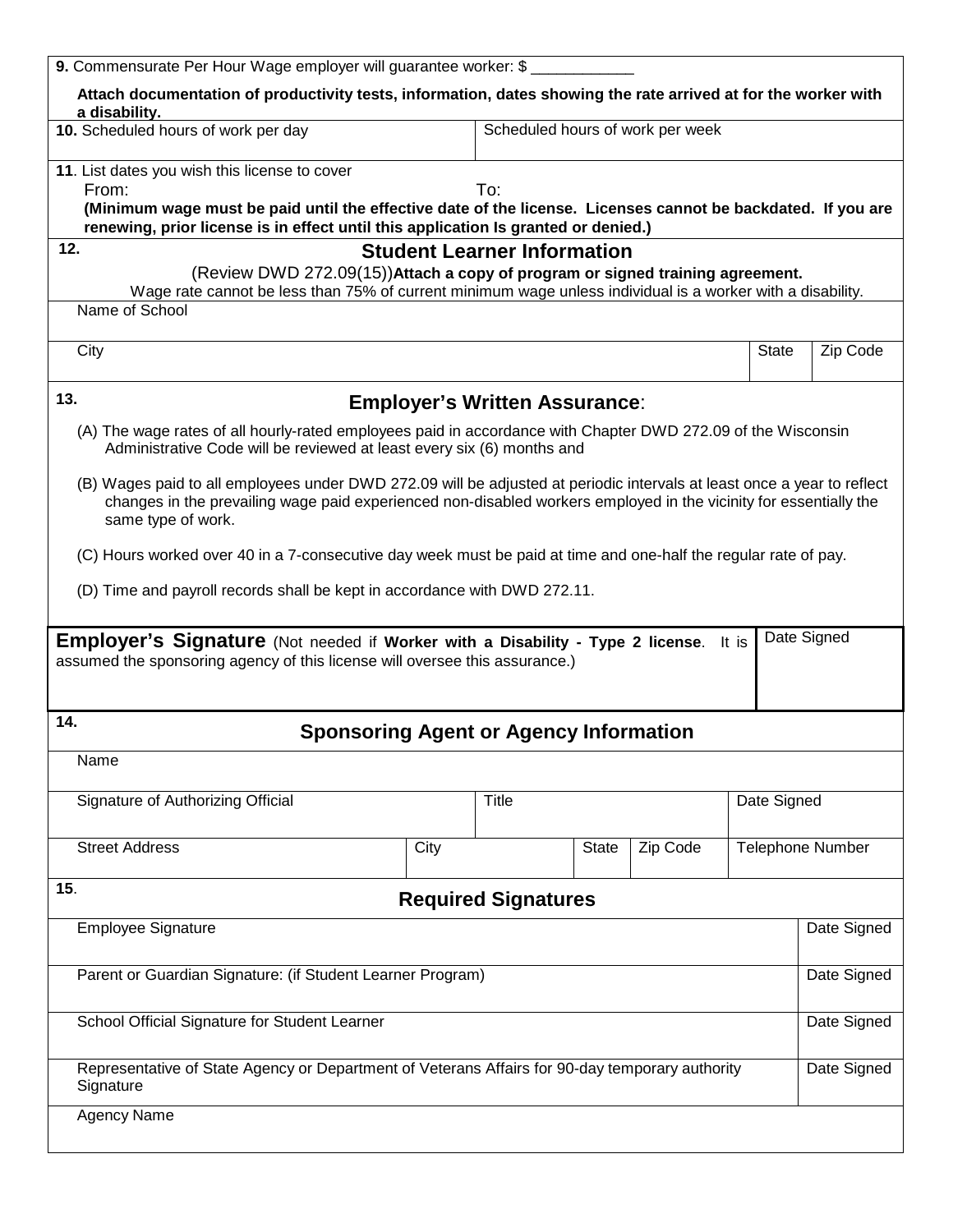| 9. Commensurate Per Hour Wage employer will guarantee worker: \$                                                                                                                                                                                                   |      |              |       |                                  |                         |             |  |  |
|--------------------------------------------------------------------------------------------------------------------------------------------------------------------------------------------------------------------------------------------------------------------|------|--------------|-------|----------------------------------|-------------------------|-------------|--|--|
| Attach documentation of productivity tests, information, dates showing the rate arrived at for the worker with<br>a disability.                                                                                                                                    |      |              |       |                                  |                         |             |  |  |
| 10. Scheduled hours of work per day                                                                                                                                                                                                                                |      |              |       | Scheduled hours of work per week |                         |             |  |  |
| 11. List dates you wish this license to cover<br>From:                                                                                                                                                                                                             |      | To:          |       |                                  |                         |             |  |  |
| (Minimum wage must be paid until the effective date of the license. Licenses cannot be backdated. If you are<br>renewing, prior license is in effect until this application Is granted or denied.)                                                                 |      |              |       |                                  |                         |             |  |  |
| 12.                                                                                                                                                                                                                                                                |      |              |       |                                  |                         |             |  |  |
| <b>Student Learner Information</b><br>(Review DWD 272.09(15)) Attach a copy of program or signed training agreement.<br>Wage rate cannot be less than 75% of current minimum wage unless individual is a worker with a disability.                                 |      |              |       |                                  |                         |             |  |  |
| Name of School                                                                                                                                                                                                                                                     |      |              |       |                                  |                         |             |  |  |
| City                                                                                                                                                                                                                                                               |      |              |       |                                  | State                   | Zip Code    |  |  |
| 13.<br><b>Employer's Written Assurance:</b>                                                                                                                                                                                                                        |      |              |       |                                  |                         |             |  |  |
| (A) The wage rates of all hourly-rated employees paid in accordance with Chapter DWD 272.09 of the Wisconsin<br>Administrative Code will be reviewed at least every six (6) months and                                                                             |      |              |       |                                  |                         |             |  |  |
| (B) Wages paid to all employees under DWD 272.09 will be adjusted at periodic intervals at least once a year to reflect<br>changes in the prevailing wage paid experienced non-disabled workers employed in the vicinity for essentially the<br>same type of work. |      |              |       |                                  |                         |             |  |  |
| (C) Hours worked over 40 in a 7-consecutive day week must be paid at time and one-half the regular rate of pay.                                                                                                                                                    |      |              |       |                                  |                         |             |  |  |
| (D) Time and payroll records shall be kept in accordance with DWD 272.11.                                                                                                                                                                                          |      |              |       |                                  |                         |             |  |  |
| <b>Employer's Signature</b> (Not needed if Worker with a Disability - Type 2 license. It is                                                                                                                                                                        |      |              |       |                                  |                         | Date Signed |  |  |
| assumed the sponsoring agency of this license will oversee this assurance.)                                                                                                                                                                                        |      |              |       |                                  |                         |             |  |  |
|                                                                                                                                                                                                                                                                    |      |              |       |                                  |                         |             |  |  |
| 14.<br><b>Sponsoring Agent or Agency Information</b>                                                                                                                                                                                                               |      |              |       |                                  |                         |             |  |  |
| Name                                                                                                                                                                                                                                                               |      |              |       |                                  |                         |             |  |  |
| Signature of Authorizing Official                                                                                                                                                                                                                                  |      | <b>Title</b> |       |                                  | Date Signed             |             |  |  |
| <b>Street Address</b>                                                                                                                                                                                                                                              | City |              | State | Zip Code                         | <b>Telephone Number</b> |             |  |  |
| 15.<br><b>Required Signatures</b>                                                                                                                                                                                                                                  |      |              |       |                                  |                         |             |  |  |
| <b>Employee Signature</b>                                                                                                                                                                                                                                          |      |              |       |                                  |                         | Date Signed |  |  |
| Parent or Guardian Signature: (if Student Learner Program)                                                                                                                                                                                                         |      |              |       |                                  |                         | Date Signed |  |  |
| School Official Signature for Student Learner                                                                                                                                                                                                                      |      |              |       |                                  | Date Signed             |             |  |  |
| Representative of State Agency or Department of Veterans Affairs for 90-day temporary authority<br>Signature                                                                                                                                                       |      |              |       |                                  | Date Signed             |             |  |  |
| <b>Agency Name</b>                                                                                                                                                                                                                                                 |      |              |       |                                  |                         |             |  |  |